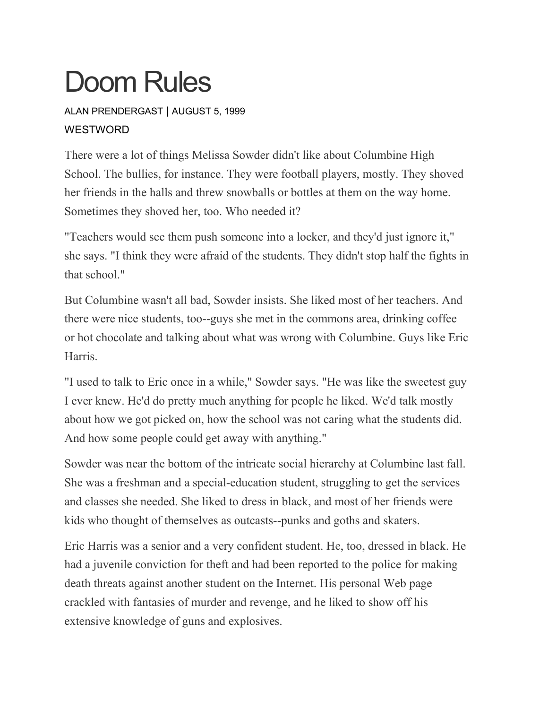# Doom Rules

## ALAN [PRENDERGAST](https://www.westword.com/authors/alan-prendergast-5052731) | AUGUST 5, 1999 **WESTWORD**

There were a lot of things Melissa Sowder didn't like about Columbine High School. The bullies, for instance. They were football players, mostly. They shoved her friends in the halls and threw snowballs or bottles at them on the way home. Sometimes they shoved her, too. Who needed it?

"Teachers would see them push someone into a locker, and they'd just ignore it," she says. "I think they were afraid of the students. They didn't stop half the fights in that school."

But Columbine wasn't all bad, Sowder insists. She liked most of her teachers. And there were nice students, too--guys she met in the commons area, drinking coffee or hot chocolate and talking about what was wrong with Columbine. Guys like Eric Harris.

"I used to talk to Eric once in a while," Sowder says. "He was like the sweetest guy I ever knew. He'd do pretty much anything for people he liked. We'd talk mostly about how we got picked on, how the school was not caring what the students did. And how some people could get away with anything."

Sowder was near the bottom of the intricate social hierarchy at Columbine last fall. She was a freshman and a special-education student, struggling to get the services and classes she needed. She liked to dress in black, and most of her friends were kids who thought of themselves as outcasts--punks and goths and skaters.

Eric Harris was a senior and a very confident student. He, too, dressed in black. He had a juvenile conviction for theft and had been reported to the police for making death threats against another student on the Internet. His personal Web page crackled with fantasies of murder and revenge, and he liked to show off his extensive knowledge of guns and explosives.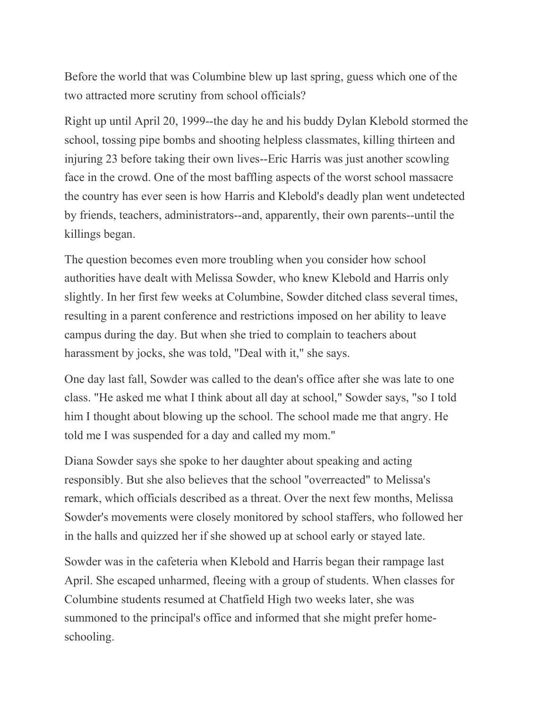Before the world that was Columbine blew up last spring, guess which one of the two attracted more scrutiny from school officials?

Right up until April 20, 1999--the day he and his buddy Dylan Klebold stormed the school, tossing pipe bombs and shooting helpless classmates, killing thirteen and injuring 23 before taking their own lives--Eric Harris was just another scowling face in the crowd. One of the most baffling aspects of the worst school massacre the country has ever seen is how Harris and Klebold's deadly plan went undetected by friends, teachers, administrators--and, apparently, their own parents--until the killings began.

The question becomes even more troubling when you consider how school authorities have dealt with Melissa Sowder, who knew Klebold and Harris only slightly. In her first few weeks at Columbine, Sowder ditched class several times, resulting in a parent conference and restrictions imposed on her ability to leave campus during the day. But when she tried to complain to teachers about harassment by jocks, she was told, "Deal with it," she says.

One day last fall, Sowder was called to the dean's office after she was late to one class. "He asked me what I think about all day at school," Sowder says, "so I told him I thought about blowing up the school. The school made me that angry. He told me I was suspended for a day and called my mom."

Diana Sowder says she spoke to her daughter about speaking and acting responsibly. But she also believes that the school "overreacted" to Melissa's remark, which officials described as a threat. Over the next few months, Melissa Sowder's movements were closely monitored by school staffers, who followed her in the halls and quizzed her if she showed up at school early or stayed late.

Sowder was in the cafeteria when Klebold and Harris began their rampage last April. She escaped unharmed, fleeing with a group of students. When classes for Columbine students resumed at Chatfield High two weeks later, she was summoned to the principal's office and informed that she might prefer homeschooling.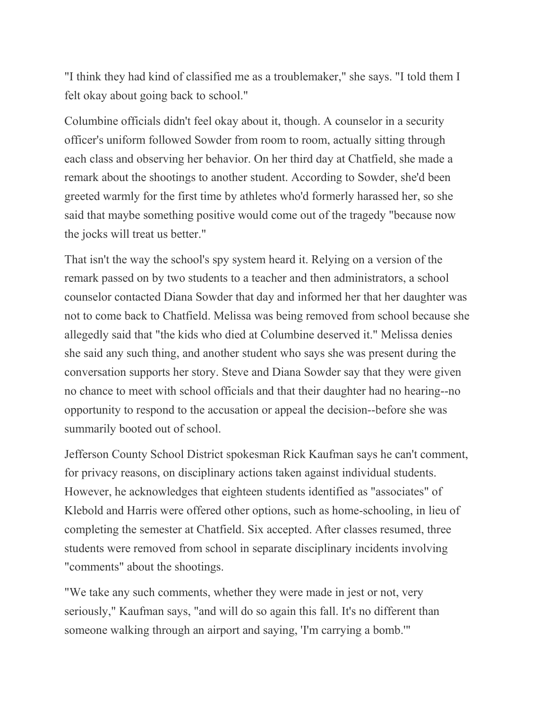"I think they had kind of classified me as a troublemaker," she says. "I told them I felt okay about going back to school."

Columbine officials didn't feel okay about it, though. A counselor in a security officer's uniform followed Sowder from room to room, actually sitting through each class and observing her behavior. On her third day at Chatfield, she made a remark about the shootings to another student. According to Sowder, she'd been greeted warmly for the first time by athletes who'd formerly harassed her, so she said that maybe something positive would come out of the tragedy "because now the jocks will treat us better."

That isn't the way the school's spy system heard it. Relying on a version of the remark passed on by two students to a teacher and then administrators, a school counselor contacted Diana Sowder that day and informed her that her daughter was not to come back to Chatfield. Melissa was being removed from school because she allegedly said that "the kids who died at Columbine deserved it." Melissa denies she said any such thing, and another student who says she was present during the conversation supports her story. Steve and Diana Sowder say that they were given no chance to meet with school officials and that their daughter had no hearing--no opportunity to respond to the accusation or appeal the decision--before she was summarily booted out of school.

Jefferson County School District spokesman Rick Kaufman says he can't comment, for privacy reasons, on disciplinary actions taken against individual students. However, he acknowledges that eighteen students identified as "associates" of Klebold and Harris were offered other options, such as home-schooling, in lieu of completing the semester at Chatfield. Six accepted. After classes resumed, three students were removed from school in separate disciplinary incidents involving "comments" about the shootings.

"We take any such comments, whether they were made in jest or not, very seriously," Kaufman says, "and will do so again this fall. It's no different than someone walking through an airport and saying, 'I'm carrying a bomb.'"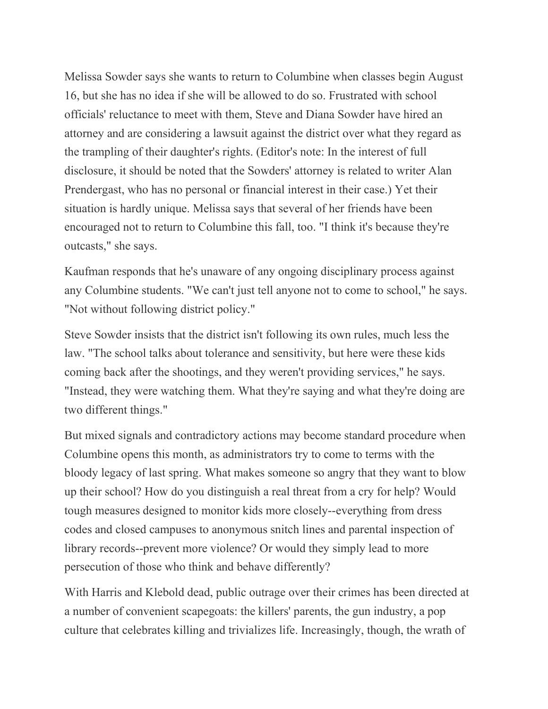Melissa Sowder says she wants to return to Columbine when classes begin August 16, but she has no idea if she will be allowed to do so. Frustrated with school officials' reluctance to meet with them, Steve and Diana Sowder have hired an attorney and are considering a lawsuit against the district over what they regard as the trampling of their daughter's rights. (Editor's note: In the interest of full disclosure, it should be noted that the Sowders' attorney is related to writer Alan Prendergast, who has no personal or financial interest in their case.) Yet their situation is hardly unique. Melissa says that several of her friends have been encouraged not to return to Columbine this fall, too. "I think it's because they're outcasts," she says.

Kaufman responds that he's unaware of any ongoing disciplinary process against any Columbine students. "We can't just tell anyone not to come to school," he says. "Not without following district policy."

Steve Sowder insists that the district isn't following its own rules, much less the law. "The school talks about tolerance and sensitivity, but here were these kids coming back after the shootings, and they weren't providing services," he says. "Instead, they were watching them. What they're saying and what they're doing are two different things."

But mixed signals and contradictory actions may become standard procedure when Columbine opens this month, as administrators try to come to terms with the bloody legacy of last spring. What makes someone so angry that they want to blow up their school? How do you distinguish a real threat from a cry for help? Would tough measures designed to monitor kids more closely--everything from dress codes and closed campuses to anonymous snitch lines and parental inspection of library records--prevent more violence? Or would they simply lead to more persecution of those who think and behave differently?

With Harris and Klebold dead, public outrage over their crimes has been directed at a number of convenient scapegoats: the killers' parents, the gun industry, a pop culture that celebrates killing and trivializes life. Increasingly, though, the wrath of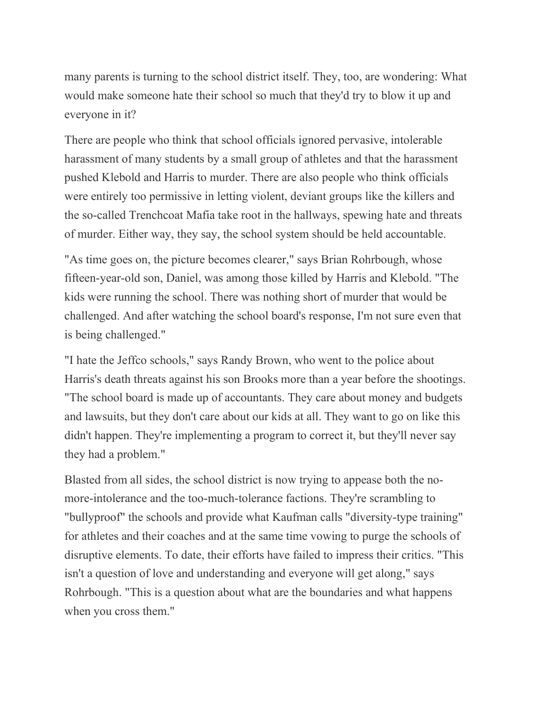many parents is turning to the school district itself. They, too, are wondering: What would make someone hate their school so much that they'd try to blow it up and everyone in it?

There are people who think that school officials ignored pervasive, intolerable harassment of many students by a small group of athletes and that the harassment pushed Klebold and Harris to murder. There are also people who think officials were entirely too permissive in letting violent, deviant groups like the killers and the so-called Trenchcoat Mafia take root in the hallways, spewing hate and threats of murder. Either way, they say, the school system should be held accountable.

"As time goes on, the picture becomes clearer," says Brian Rohrbough, whose fifteen-year-old son, Daniel, was among those killed by Harris and Klebold. "The kids were running the school. There was nothing short of murder that would be challenged. And after watching the school board's response, I'm not sure even that is being challenged."

"I hate the Jeffco schools," says Randy Brown, who went to the police about Harris's death threats against his son Brooks more than a year before the shootings. "The school board is made up of accountants. They care about money and budgets and lawsuits, but they don't care about our kids at all. They want to go on like this didn't happen. They're implementing a program to correct it, but they'll never say they had a problem."

Blasted from all sides, the school district is now trying to appease both the nomore-intolerance and the too-much-tolerance factions. They're scrambling to "bullyproof" the schools and provide what Kaufman calls "diversity-type training" for athletes and their coaches and at the same time vowing to purge the schools of disruptive elements. To date, their efforts have failed to impress their critics. "This isn't a question of love and understanding and everyone will get along," says Rohrbough. "This is a question about what are the boundaries and what happens when you cross them."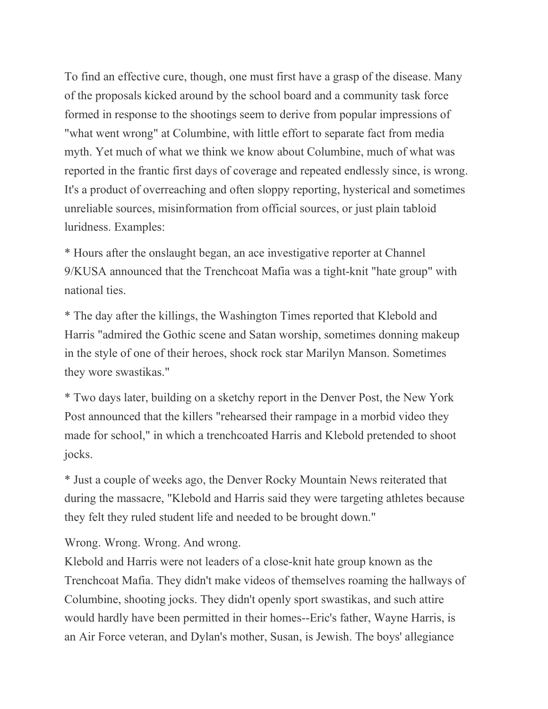To find an effective cure, though, one must first have a grasp of the disease. Many of the proposals kicked around by the school board and a community task force formed in response to the shootings seem to derive from popular impressions of "what went wrong" at Columbine, with little effort to separate fact from media myth. Yet much of what we think we know about Columbine, much of what was reported in the frantic first days of coverage and repeated endlessly since, is wrong. It's a product of overreaching and often sloppy reporting, hysterical and sometimes unreliable sources, misinformation from official sources, or just plain tabloid luridness. Examples:

\* Hours after the onslaught began, an ace investigative reporter at Channel 9/KUSA announced that the Trenchcoat Mafia was a tight-knit "hate group" with national ties.

\* The day after the killings, the Washington Times reported that Klebold and Harris "admired the Gothic scene and Satan worship, sometimes donning makeup in the style of one of their heroes, shock rock star Marilyn Manson. Sometimes they wore swastikas."

\* Two days later, building on a sketchy report in the Denver Post, the New York Post announced that the killers "rehearsed their rampage in a morbid video they made for school," in which a trenchcoated Harris and Klebold pretended to shoot jocks.

\* Just a couple of weeks ago, the Denver Rocky Mountain News reiterated that during the massacre, "Klebold and Harris said they were targeting athletes because they felt they ruled student life and needed to be brought down."

Wrong. Wrong. Wrong. And wrong.

Klebold and Harris were not leaders of a close-knit hate group known as the Trenchcoat Mafia. They didn't make videos of themselves roaming the hallways of Columbine, shooting jocks. They didn't openly sport swastikas, and such attire would hardly have been permitted in their homes--Eric's father, Wayne Harris, is an Air Force veteran, and Dylan's mother, Susan, is Jewish. The boys' allegiance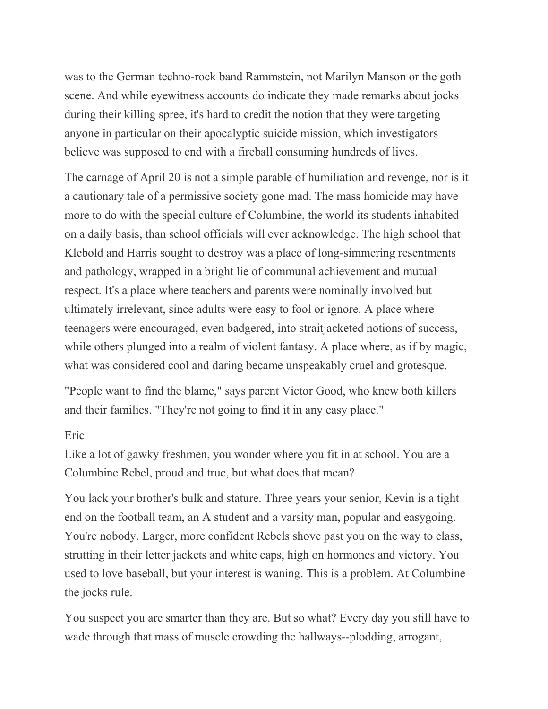was to the German techno-rock band Rammstein, not Marilyn Manson or the goth scene. And while eyewitness accounts do indicate they made remarks about jocks during their killing spree, it's hard to credit the notion that they were targeting anyone in particular on their apocalyptic suicide mission, which investigators believe was supposed to end with a fireball consuming hundreds of lives.

The carnage of April 20 is not a simple parable of humiliation and revenge, nor is it a cautionary tale of a permissive society gone mad. The mass homicide may have more to do with the special culture of Columbine, the world its students inhabited on a daily basis, than school officials will ever acknowledge. The high school that Klebold and Harris sought to destroy was a place of long-simmering resentments and pathology, wrapped in a bright lie of communal achievement and mutual respect. It's a place where teachers and parents were nominally involved but ultimately irrelevant, since adults were easy to fool or ignore. A place where teenagers were encouraged, even badgered, into straitjacketed notions of success, while others plunged into a realm of violent fantasy. A place where, as if by magic, what was considered cool and daring became unspeakably cruel and grotesque.

"People want to find the blame," says parent Victor Good, who knew both killers and their families. "They're not going to find it in any easy place."

### Eric

Like a lot of gawky freshmen, you wonder where you fit in at school. You are a Columbine Rebel, proud and true, but what does that mean?

You lack your brother's bulk and stature. Three years your senior, Kevin is a tight end on the football team, an A student and a varsity man, popular and easygoing. You're nobody. Larger, more confident Rebels shove past you on the way to class, strutting in their letter jackets and white caps, high on hormones and victory. You used to love baseball, but your interest is waning. This is a problem. At Columbine the jocks rule.

You suspect you are smarter than they are. But so what? Every day you still have to wade through that mass of muscle crowding the hallways--plodding, arrogant,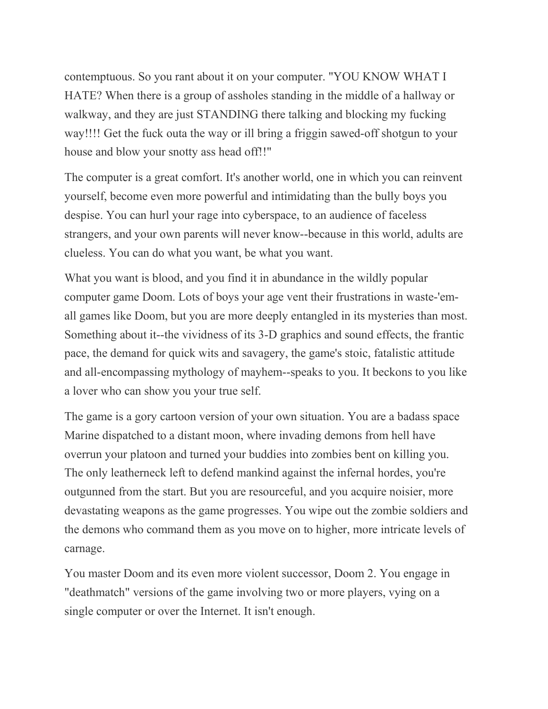contemptuous. So you rant about it on your computer. "YOU KNOW WHAT I HATE? When there is a group of assholes standing in the middle of a hallway or walkway, and they are just STANDING there talking and blocking my fucking way!!!! Get the fuck outa the way or ill bring a friggin sawed-off shotgun to your house and blow your snotty ass head off!!"

The computer is a great comfort. It's another world, one in which you can reinvent yourself, become even more powerful and intimidating than the bully boys you despise. You can hurl your rage into cyberspace, to an audience of faceless strangers, and your own parents will never know--because in this world, adults are clueless. You can do what you want, be what you want.

What you want is blood, and you find it in abundance in the wildly popular computer game Doom. Lots of boys your age vent their frustrations in waste-'emall games like Doom, but you are more deeply entangled in its mysteries than most. Something about it--the vividness of its 3-D graphics and sound effects, the frantic pace, the demand for quick wits and savagery, the game's stoic, fatalistic attitude and all-encompassing mythology of mayhem--speaks to you. It beckons to you like a lover who can show you your true self.

The game is a gory cartoon version of your own situation. You are a badass space Marine dispatched to a distant moon, where invading demons from hell have overrun your platoon and turned your buddies into zombies bent on killing you. The only leatherneck left to defend mankind against the infernal hordes, you're outgunned from the start. But you are resourceful, and you acquire noisier, more devastating weapons as the game progresses. You wipe out the zombie soldiers and the demons who command them as you move on to higher, more intricate levels of carnage.

You master Doom and its even more violent successor, Doom 2. You engage in "deathmatch" versions of the game involving two or more players, vying on a single computer or over the Internet. It isn't enough.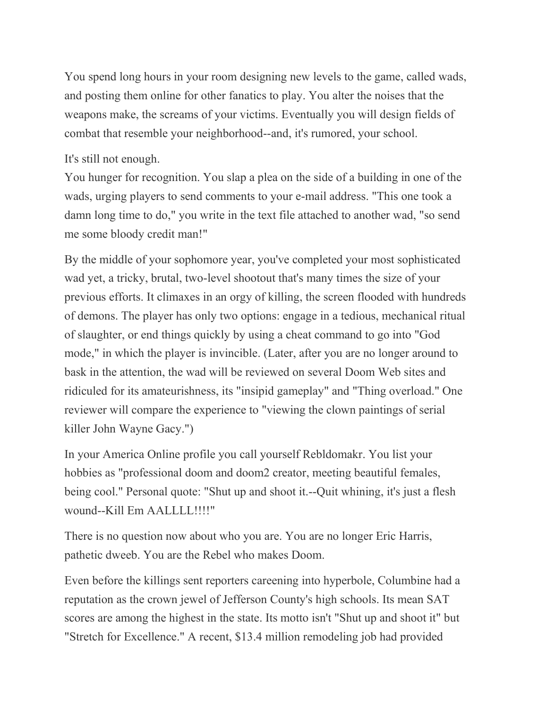You spend long hours in your room designing new levels to the game, called wads, and posting them online for other fanatics to play. You alter the noises that the weapons make, the screams of your victims. Eventually you will design fields of combat that resemble your neighborhood--and, it's rumored, your school.

## It's still not enough.

You hunger for recognition. You slap a plea on the side of a building in one of the wads, urging players to send comments to your e-mail address. "This one took a damn long time to do," you write in the text file attached to another wad, "so send me some bloody credit man!"

By the middle of your sophomore year, you've completed your most sophisticated wad yet, a tricky, brutal, two-level shootout that's many times the size of your previous efforts. It climaxes in an orgy of killing, the screen flooded with hundreds of demons. The player has only two options: engage in a tedious, mechanical ritual of slaughter, or end things quickly by using a cheat command to go into "God mode," in which the player is invincible. (Later, after you are no longer around to bask in the attention, the wad will be reviewed on several Doom Web sites and ridiculed for its amateurishness, its "insipid gameplay" and "Thing overload." One reviewer will compare the experience to "viewing the clown paintings of serial killer John Wayne Gacy.")

In your America Online profile you call yourself Rebldomakr. You list your hobbies as "professional doom and doom2 creator, meeting beautiful females, being cool." Personal quote: "Shut up and shoot it.--Quit whining, it's just a flesh wound--Kill Em AALLLL!!!!"

There is no question now about who you are. You are no longer Eric Harris, pathetic dweeb. You are the Rebel who makes Doom.

Even before the killings sent reporters careening into hyperbole, Columbine had a reputation as the crown jewel of Jefferson County's high schools. Its mean SAT scores are among the highest in the state. Its motto isn't "Shut up and shoot it" but "Stretch for Excellence." A recent, \$13.4 million remodeling job had provided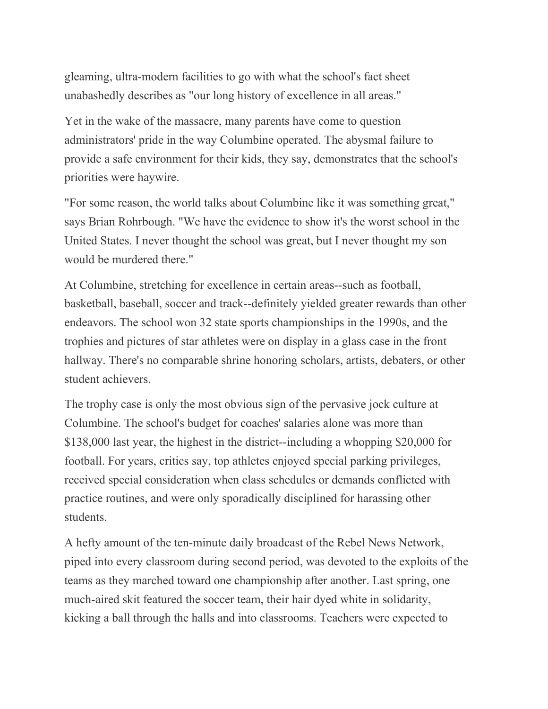gleaming, ultra-modern facilities to go with what the school's fact sheet unabashedly describes as "our long history of excellence in all areas."

Yet in the wake of the massacre, many parents have come to question administrators' pride in the way Columbine operated. The abysmal failure to provide a safe environment for their kids, they say, demonstrates that the school's priorities were haywire.

"For some reason, the world talks about Columbine like it was something great," says Brian Rohrbough. "We have the evidence to show it's the worst school in the United States. I never thought the school was great, but I never thought my son would be murdered there."

At Columbine, stretching for excellence in certain areas--such as football, basketball, baseball, soccer and track--definitely yielded greater rewards than other endeavors. The school won 32 state sports championships in the 1990s, and the trophies and pictures of star athletes were on display in a glass case in the front hallway. There's no comparable shrine honoring scholars, artists, debaters, or other student achievers.

The trophy case is only the most obvious sign of the pervasive jock culture at Columbine. The school's budget for coaches' salaries alone was more than \$138,000 last year, the highest in the district--including a whopping \$20,000 for football. For years, critics say, top athletes enjoyed special parking privileges, received special consideration when class schedules or demands conflicted with practice routines, and were only sporadically disciplined for harassing other students.

A hefty amount of the ten-minute daily broadcast of the Rebel News Network, piped into every classroom during second period, was devoted to the exploits of the teams as they marched toward one championship after another. Last spring, one much-aired skit featured the soccer team, their hair dyed white in solidarity, kicking a ball through the halls and into classrooms. Teachers were expected to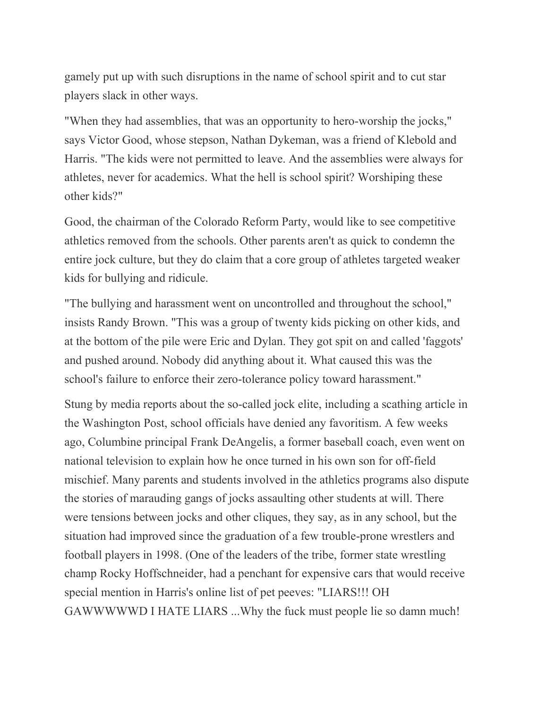gamely put up with such disruptions in the name of school spirit and to cut star players slack in other ways.

"When they had assemblies, that was an opportunity to hero-worship the jocks," says Victor Good, whose stepson, Nathan Dykeman, was a friend of Klebold and Harris. "The kids were not permitted to leave. And the assemblies were always for athletes, never for academics. What the hell is school spirit? Worshiping these other kids?"

Good, the chairman of the Colorado Reform Party, would like to see competitive athletics removed from the schools. Other parents aren't as quick to condemn the entire jock culture, but they do claim that a core group of athletes targeted weaker kids for bullying and ridicule.

"The bullying and harassment went on uncontrolled and throughout the school," insists Randy Brown. "This was a group of twenty kids picking on other kids, and at the bottom of the pile were Eric and Dylan. They got spit on and called 'faggots' and pushed around. Nobody did anything about it. What caused this was the school's failure to enforce their zero-tolerance policy toward harassment."

Stung by media reports about the so-called jock elite, including a scathing article in the Washington Post, school officials have denied any favoritism. A few weeks ago, Columbine principal Frank DeAngelis, a former baseball coach, even went on national television to explain how he once turned in his own son for off-field mischief. Many parents and students involved in the athletics programs also dispute the stories of marauding gangs of jocks assaulting other students at will. There were tensions between jocks and other cliques, they say, as in any school, but the situation had improved since the graduation of a few trouble-prone wrestlers and football players in 1998. (One of the leaders of the tribe, former state wrestling champ Rocky Hoffschneider, had a penchant for expensive cars that would receive special mention in Harris's online list of pet peeves: "LIARS!!! OH GAWWWWWD I HATE LIARS ...Why the fuck must people lie so damn much!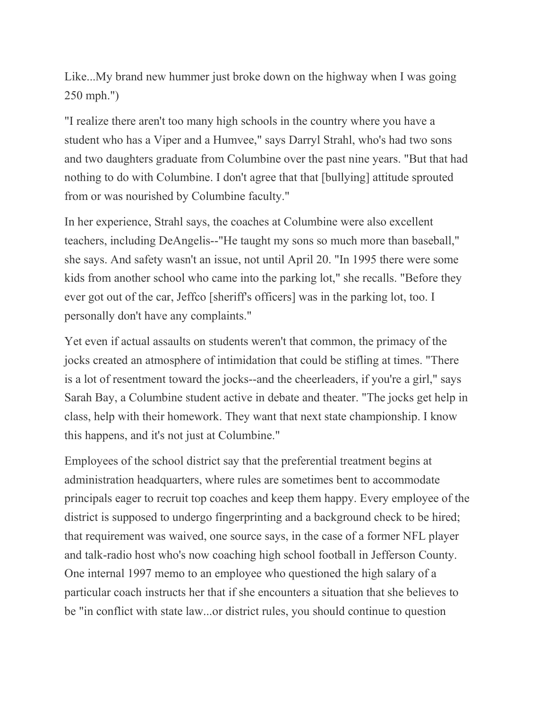Like...My brand new hummer just broke down on the highway when I was going 250 mph.")

"I realize there aren't too many high schools in the country where you have a student who has a Viper and a Humvee," says Darryl Strahl, who's had two sons and two daughters graduate from Columbine over the past nine years. "But that had nothing to do with Columbine. I don't agree that that [bullying] attitude sprouted from or was nourished by Columbine faculty."

In her experience, Strahl says, the coaches at Columbine were also excellent teachers, including DeAngelis--"He taught my sons so much more than baseball," she says. And safety wasn't an issue, not until April 20. "In 1995 there were some kids from another school who came into the parking lot," she recalls. "Before they ever got out of the car, Jeffco [sheriff's officers] was in the parking lot, too. I personally don't have any complaints."

Yet even if actual assaults on students weren't that common, the primacy of the jocks created an atmosphere of intimidation that could be stifling at times. "There is a lot of resentment toward the jocks--and the cheerleaders, if you're a girl," says Sarah Bay, a Columbine student active in debate and theater. "The jocks get help in class, help with their homework. They want that next state championship. I know this happens, and it's not just at Columbine."

Employees of the school district say that the preferential treatment begins at administration headquarters, where rules are sometimes bent to accommodate principals eager to recruit top coaches and keep them happy. Every employee of the district is supposed to undergo fingerprinting and a background check to be hired; that requirement was waived, one source says, in the case of a former NFL player and talk-radio host who's now coaching high school football in Jefferson County. One internal 1997 memo to an employee who questioned the high salary of a particular coach instructs her that if she encounters a situation that she believes to be "in conflict with state law...or district rules, you should continue to question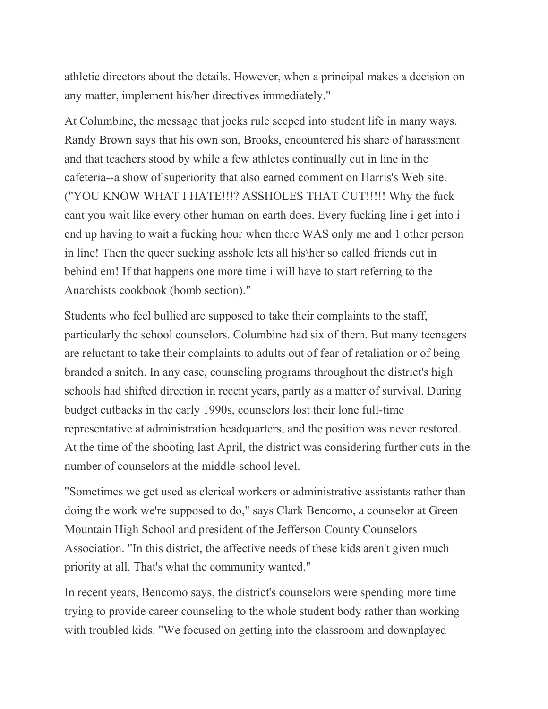athletic directors about the details. However, when a principal makes a decision on any matter, implement his/her directives immediately."

At Columbine, the message that jocks rule seeped into student life in many ways. Randy Brown says that his own son, Brooks, encountered his share of harassment and that teachers stood by while a few athletes continually cut in line in the cafeteria--a show of superiority that also earned comment on Harris's Web site. ("YOU KNOW WHAT I HATE!!!? ASSHOLES THAT CUT!!!!! Why the fuck cant you wait like every other human on earth does. Every fucking line i get into i end up having to wait a fucking hour when there WAS only me and 1 other person in line! Then the queer sucking asshole lets all his\her so called friends cut in behind em! If that happens one more time i will have to start referring to the Anarchists cookbook (bomb section)."

Students who feel bullied are supposed to take their complaints to the staff, particularly the school counselors. Columbine had six of them. But many teenagers are reluctant to take their complaints to adults out of fear of retaliation or of being branded a snitch. In any case, counseling programs throughout the district's high schools had shifted direction in recent years, partly as a matter of survival. During budget cutbacks in the early 1990s, counselors lost their lone full-time representative at administration headquarters, and the position was never restored. At the time of the shooting last April, the district was considering further cuts in the number of counselors at the middle-school level.

"Sometimes we get used as clerical workers or administrative assistants rather than doing the work we're supposed to do," says Clark Bencomo, a counselor at Green Mountain High School and president of the Jefferson County Counselors Association. "In this district, the affective needs of these kids aren't given much priority at all. That's what the community wanted."

In recent years, Bencomo says, the district's counselors were spending more time trying to provide career counseling to the whole student body rather than working with troubled kids. "We focused on getting into the classroom and downplayed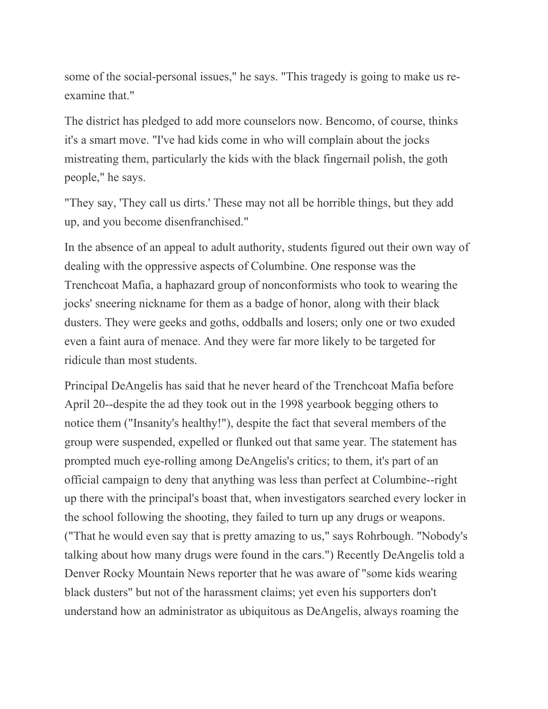some of the social-personal issues," he says. "This tragedy is going to make us reexamine that."

The district has pledged to add more counselors now. Bencomo, of course, thinks it's a smart move. "I've had kids come in who will complain about the jocks mistreating them, particularly the kids with the black fingernail polish, the goth people," he says.

"They say, 'They call us dirts.' These may not all be horrible things, but they add up, and you become disenfranchised."

In the absence of an appeal to adult authority, students figured out their own way of dealing with the oppressive aspects of Columbine. One response was the Trenchcoat Mafia, a haphazard group of nonconformists who took to wearing the jocks' sneering nickname for them as a badge of honor, along with their black dusters. They were geeks and goths, oddballs and losers; only one or two exuded even a faint aura of menace. And they were far more likely to be targeted for ridicule than most students.

Principal DeAngelis has said that he never heard of the Trenchcoat Mafia before April 20--despite the ad they took out in the 1998 yearbook begging others to notice them ("Insanity's healthy!"), despite the fact that several members of the group were suspended, expelled or flunked out that same year. The statement has prompted much eye-rolling among DeAngelis's critics; to them, it's part of an official campaign to deny that anything was less than perfect at Columbine--right up there with the principal's boast that, when investigators searched every locker in the school following the shooting, they failed to turn up any drugs or weapons. ("That he would even say that is pretty amazing to us," says Rohrbough. "Nobody's talking about how many drugs were found in the cars.") Recently DeAngelis told a Denver Rocky Mountain News reporter that he was aware of "some kids wearing black dusters" but not of the harassment claims; yet even his supporters don't understand how an administrator as ubiquitous as DeAngelis, always roaming the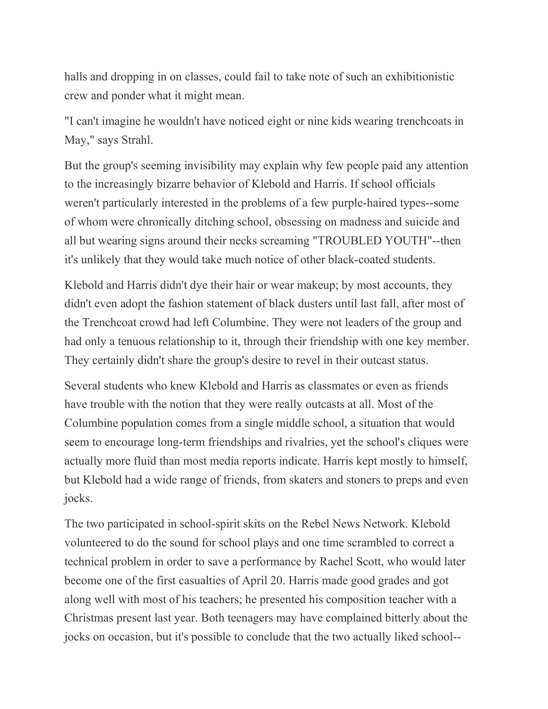halls and dropping in on classes, could fail to take note of such an exhibitionistic crew and ponder what it might mean.

"I can't imagine he wouldn't have noticed eight or nine kids wearing trenchcoats in May," says Strahl.

But the group's seeming invisibility may explain why few people paid any attention to the increasingly bizarre behavior of Klebold and Harris. If school officials weren't particularly interested in the problems of a few purple-haired types--some of whom were chronically ditching school, obsessing on madness and suicide and all but wearing signs around their necks screaming "TROUBLED YOUTH"--then it's unlikely that they would take much notice of other black-coated students.

Klebold and Harris didn't dye their hair or wear makeup; by most accounts, they didn't even adopt the fashion statement of black dusters until last fall, after most of the Trenchcoat crowd had left Columbine. They were not leaders of the group and had only a tenuous relationship to it, through their friendship with one key member. They certainly didn't share the group's desire to revel in their outcast status.

Several students who knew Klebold and Harris as classmates or even as friends have trouble with the notion that they were really outcasts at all. Most of the Columbine population comes from a single middle school, a situation that would seem to encourage long-term friendships and rivalries, yet the school's cliques were actually more fluid than most media reports indicate. Harris kept mostly to himself, but Klebold had a wide range of friends, from skaters and stoners to preps and even jocks.

The two participated in school-spirit skits on the Rebel News Network. Klebold volunteered to do the sound for school plays and one time scrambled to correct a technical problem in order to save a performance by Rachel Scott, who would later become one of the first casualties of April 20. Harris made good grades and got along well with most of his teachers; he presented his composition teacher with a Christmas present last year. Both teenagers may have complained bitterly about the jocks on occasion, but it's possible to conclude that the two actually liked school--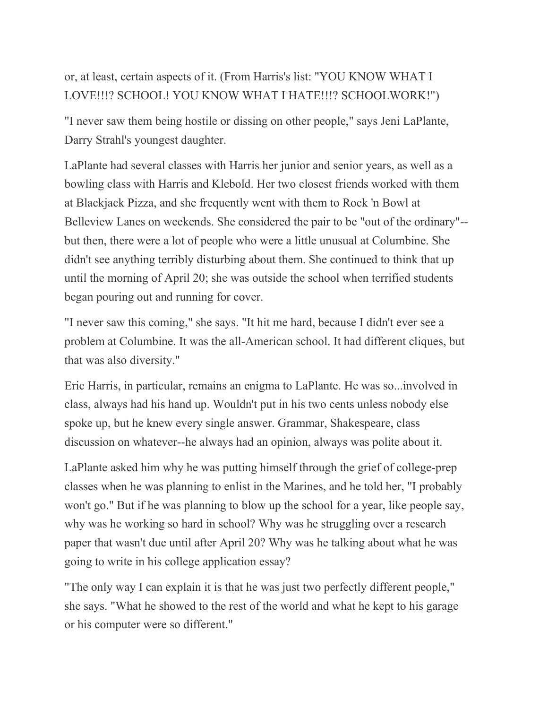# or, at least, certain aspects of it. (From Harris's list: "YOU KNOW WHAT I LOVE!!!? SCHOOL! YOU KNOW WHAT I HATE!!!? SCHOOLWORK!")

"I never saw them being hostile or dissing on other people," says Jeni LaPlante, Darry Strahl's youngest daughter.

LaPlante had several classes with Harris her junior and senior years, as well as a bowling class with Harris and Klebold. Her two closest friends worked with them at Blackjack Pizza, and she frequently went with them to Rock 'n Bowl at Belleview Lanes on weekends. She considered the pair to be "out of the ordinary"- but then, there were a lot of people who were a little unusual at Columbine. She didn't see anything terribly disturbing about them. She continued to think that up until the morning of April 20; she was outside the school when terrified students began pouring out and running for cover.

"I never saw this coming," she says. "It hit me hard, because I didn't ever see a problem at Columbine. It was the all-American school. It had different cliques, but that was also diversity."

Eric Harris, in particular, remains an enigma to LaPlante. He was so...involved in class, always had his hand up. Wouldn't put in his two cents unless nobody else spoke up, but he knew every single answer. Grammar, Shakespeare, class discussion on whatever--he always had an opinion, always was polite about it.

LaPlante asked him why he was putting himself through the grief of college-prep classes when he was planning to enlist in the Marines, and he told her, "I probably won't go." But if he was planning to blow up the school for a year, like people say, why was he working so hard in school? Why was he struggling over a research paper that wasn't due until after April 20? Why was he talking about what he was going to write in his college application essay?

"The only way I can explain it is that he was just two perfectly different people," she says. "What he showed to the rest of the world and what he kept to his garage or his computer were so different."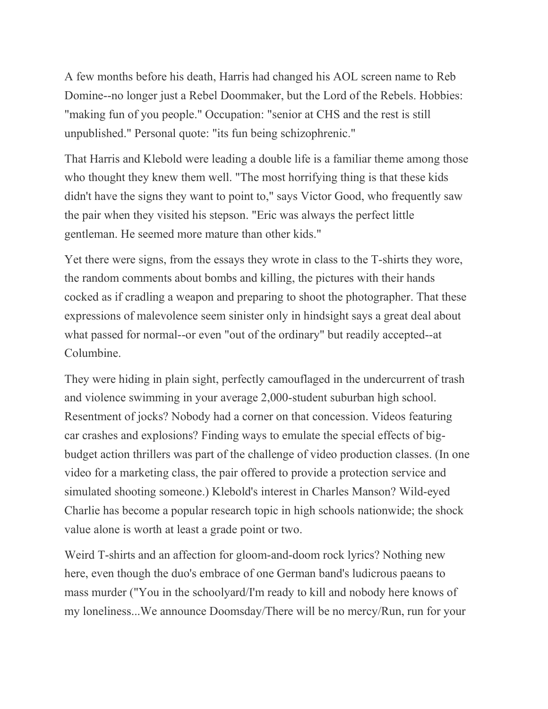A few months before his death, Harris had changed his AOL screen name to Reb Domine--no longer just a Rebel Doommaker, but the Lord of the Rebels. Hobbies: "making fun of you people." Occupation: "senior at CHS and the rest is still unpublished." Personal quote: "its fun being schizophrenic."

That Harris and Klebold were leading a double life is a familiar theme among those who thought they knew them well. "The most horrifying thing is that these kids didn't have the signs they want to point to," says Victor Good, who frequently saw the pair when they visited his stepson. "Eric was always the perfect little gentleman. He seemed more mature than other kids."

Yet there were signs, from the essays they wrote in class to the T-shirts they wore, the random comments about bombs and killing, the pictures with their hands cocked as if cradling a weapon and preparing to shoot the photographer. That these expressions of malevolence seem sinister only in hindsight says a great deal about what passed for normal--or even "out of the ordinary" but readily accepted--at Columbine.

They were hiding in plain sight, perfectly camouflaged in the undercurrent of trash and violence swimming in your average 2,000-student suburban high school. Resentment of jocks? Nobody had a corner on that concession. Videos featuring car crashes and explosions? Finding ways to emulate the special effects of bigbudget action thrillers was part of the challenge of video production classes. (In one video for a marketing class, the pair offered to provide a protection service and simulated shooting someone.) Klebold's interest in Charles Manson? Wild-eyed Charlie has become a popular research topic in high schools nationwide; the shock value alone is worth at least a grade point or two.

Weird T-shirts and an affection for gloom-and-doom rock lyrics? Nothing new here, even though the duo's embrace of one German band's ludicrous paeans to mass murder ("You in the schoolyard/I'm ready to kill and nobody here knows of my loneliness...We announce Doomsday/There will be no mercy/Run, run for your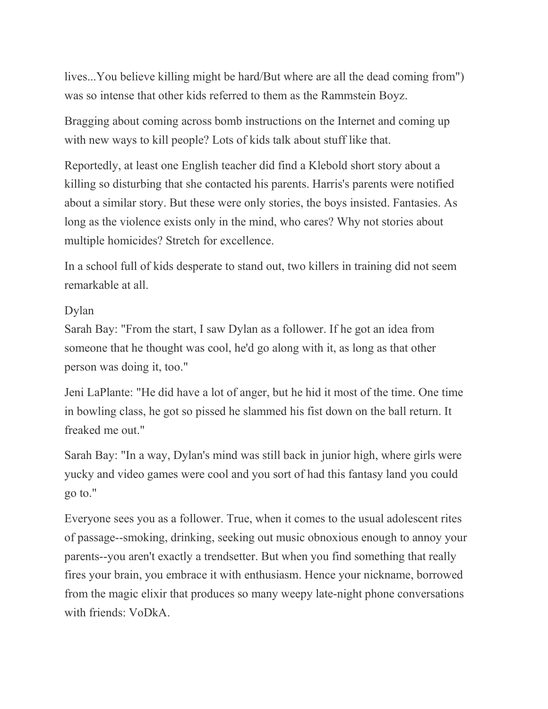lives...You believe killing might be hard/But where are all the dead coming from") was so intense that other kids referred to them as the Rammstein Boyz.

Bragging about coming across bomb instructions on the Internet and coming up with new ways to kill people? Lots of kids talk about stuff like that.

Reportedly, at least one English teacher did find a Klebold short story about a killing so disturbing that she contacted his parents. Harris's parents were notified about a similar story. But these were only stories, the boys insisted. Fantasies. As long as the violence exists only in the mind, who cares? Why not stories about multiple homicides? Stretch for excellence.

In a school full of kids desperate to stand out, two killers in training did not seem remarkable at all.

### Dylan

Sarah Bay: "From the start, I saw Dylan as a follower. If he got an idea from someone that he thought was cool, he'd go along with it, as long as that other person was doing it, too."

Jeni LaPlante: "He did have a lot of anger, but he hid it most of the time. One time in bowling class, he got so pissed he slammed his fist down on the ball return. It freaked me out."

Sarah Bay: "In a way, Dylan's mind was still back in junior high, where girls were yucky and video games were cool and you sort of had this fantasy land you could go to."

Everyone sees you as a follower. True, when it comes to the usual adolescent rites of passage--smoking, drinking, seeking out music obnoxious enough to annoy your parents--you aren't exactly a trendsetter. But when you find something that really fires your brain, you embrace it with enthusiasm. Hence your nickname, borrowed from the magic elixir that produces so many weepy late-night phone conversations with friends: VoDkA.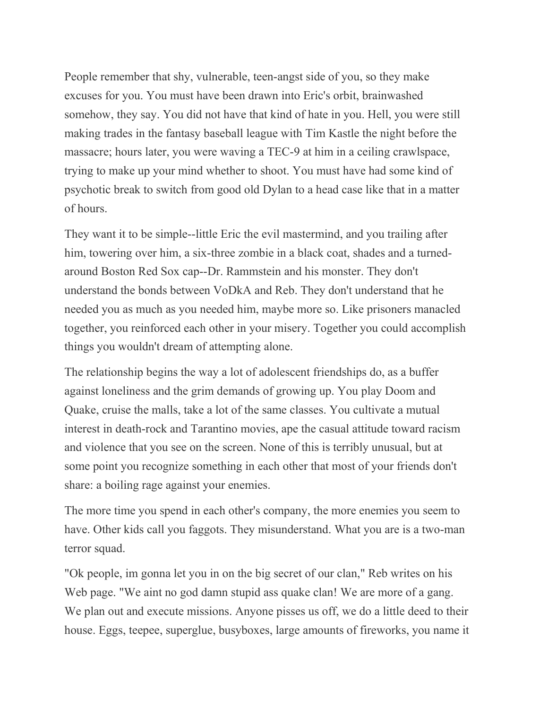People remember that shy, vulnerable, teen-angst side of you, so they make excuses for you. You must have been drawn into Eric's orbit, brainwashed somehow, they say. You did not have that kind of hate in you. Hell, you were still making trades in the fantasy baseball league with Tim Kastle the night before the massacre; hours later, you were waving a TEC-9 at him in a ceiling crawlspace, trying to make up your mind whether to shoot. You must have had some kind of psychotic break to switch from good old Dylan to a head case like that in a matter of hours.

They want it to be simple--little Eric the evil mastermind, and you trailing after him, towering over him, a six-three zombie in a black coat, shades and a turnedaround Boston Red Sox cap--Dr. Rammstein and his monster. They don't understand the bonds between VoDkA and Reb. They don't understand that he needed you as much as you needed him, maybe more so. Like prisoners manacled together, you reinforced each other in your misery. Together you could accomplish things you wouldn't dream of attempting alone.

The relationship begins the way a lot of adolescent friendships do, as a buffer against loneliness and the grim demands of growing up. You play Doom and Quake, cruise the malls, take a lot of the same classes. You cultivate a mutual interest in death-rock and Tarantino movies, ape the casual attitude toward racism and violence that you see on the screen. None of this is terribly unusual, but at some point you recognize something in each other that most of your friends don't share: a boiling rage against your enemies.

The more time you spend in each other's company, the more enemies you seem to have. Other kids call you faggots. They misunderstand. What you are is a two-man terror squad.

"Ok people, im gonna let you in on the big secret of our clan," Reb writes on his Web page. "We aint no god damn stupid ass quake clan! We are more of a gang. We plan out and execute missions. Anyone pisses us off, we do a little deed to their house. Eggs, teepee, superglue, busyboxes, large amounts of fireworks, you name it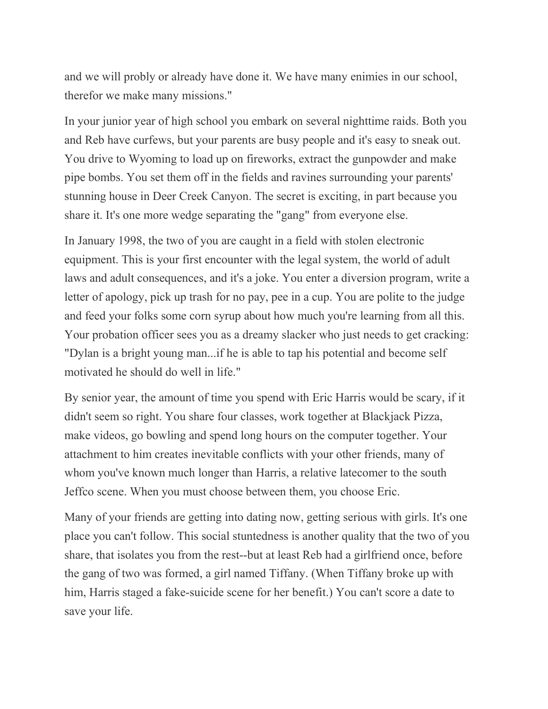and we will probly or already have done it. We have many enimies in our school, therefor we make many missions."

In your junior year of high school you embark on several nighttime raids. Both you and Reb have curfews, but your parents are busy people and it's easy to sneak out. You drive to Wyoming to load up on fireworks, extract the gunpowder and make pipe bombs. You set them off in the fields and ravines surrounding your parents' stunning house in Deer Creek Canyon. The secret is exciting, in part because you share it. It's one more wedge separating the "gang" from everyone else.

In January 1998, the two of you are caught in a field with stolen electronic equipment. This is your first encounter with the legal system, the world of adult laws and adult consequences, and it's a joke. You enter a diversion program, write a letter of apology, pick up trash for no pay, pee in a cup. You are polite to the judge and feed your folks some corn syrup about how much you're learning from all this. Your probation officer sees you as a dreamy slacker who just needs to get cracking: "Dylan is a bright young man...if he is able to tap his potential and become self motivated he should do well in life."

By senior year, the amount of time you spend with Eric Harris would be scary, if it didn't seem so right. You share four classes, work together at Blackjack Pizza, make videos, go bowling and spend long hours on the computer together. Your attachment to him creates inevitable conflicts with your other friends, many of whom you've known much longer than Harris, a relative latecomer to the south Jeffco scene. When you must choose between them, you choose Eric.

Many of your friends are getting into dating now, getting serious with girls. It's one place you can't follow. This social stuntedness is another quality that the two of you share, that isolates you from the rest--but at least Reb had a girlfriend once, before the gang of two was formed, a girl named Tiffany. (When Tiffany broke up with him, Harris staged a fake-suicide scene for her benefit.) You can't score a date to save your life.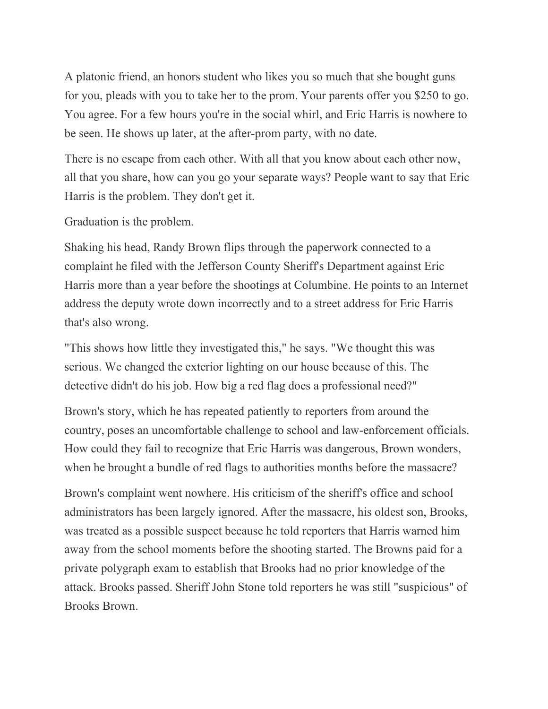A platonic friend, an honors student who likes you so much that she bought guns for you, pleads with you to take her to the prom. Your parents offer you \$250 to go. You agree. For a few hours you're in the social whirl, and Eric Harris is nowhere to be seen. He shows up later, at the after-prom party, with no date.

There is no escape from each other. With all that you know about each other now, all that you share, how can you go your separate ways? People want to say that Eric Harris is the problem. They don't get it.

Graduation is the problem.

Shaking his head, Randy Brown flips through the paperwork connected to a complaint he filed with the Jefferson County Sheriff's Department against Eric Harris more than a year before the shootings at Columbine. He points to an Internet address the deputy wrote down incorrectly and to a street address for Eric Harris that's also wrong.

"This shows how little they investigated this," he says. "We thought this was serious. We changed the exterior lighting on our house because of this. The detective didn't do his job. How big a red flag does a professional need?"

Brown's story, which he has repeated patiently to reporters from around the country, poses an uncomfortable challenge to school and law-enforcement officials. How could they fail to recognize that Eric Harris was dangerous, Brown wonders, when he brought a bundle of red flags to authorities months before the massacre?

Brown's complaint went nowhere. His criticism of the sheriff's office and school administrators has been largely ignored. After the massacre, his oldest son, Brooks, was treated as a possible suspect because he told reporters that Harris warned him away from the school moments before the shooting started. The Browns paid for a private polygraph exam to establish that Brooks had no prior knowledge of the attack. Brooks passed. Sheriff John Stone told reporters he was still "suspicious" of Brooks Brown.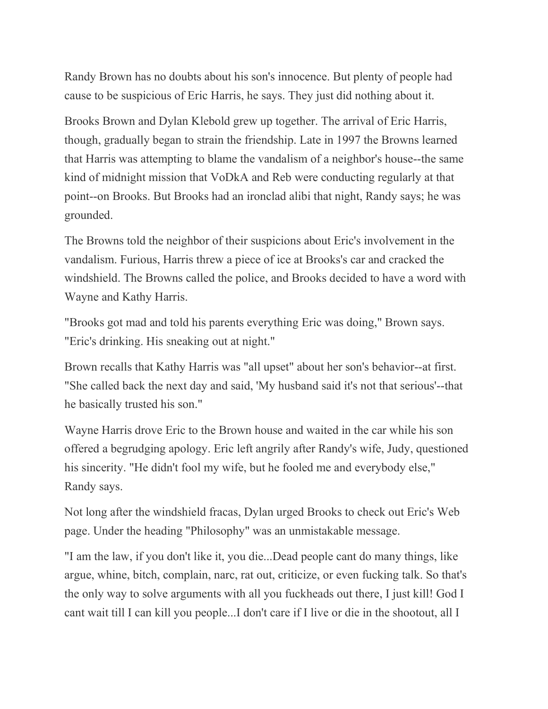Randy Brown has no doubts about his son's innocence. But plenty of people had cause to be suspicious of Eric Harris, he says. They just did nothing about it.

Brooks Brown and Dylan Klebold grew up together. The arrival of Eric Harris, though, gradually began to strain the friendship. Late in 1997 the Browns learned that Harris was attempting to blame the vandalism of a neighbor's house--the same kind of midnight mission that VoDkA and Reb were conducting regularly at that point--on Brooks. But Brooks had an ironclad alibi that night, Randy says; he was grounded.

The Browns told the neighbor of their suspicions about Eric's involvement in the vandalism. Furious, Harris threw a piece of ice at Brooks's car and cracked the windshield. The Browns called the police, and Brooks decided to have a word with Wayne and Kathy Harris.

"Brooks got mad and told his parents everything Eric was doing," Brown says. "Eric's drinking. His sneaking out at night."

Brown recalls that Kathy Harris was "all upset" about her son's behavior--at first. "She called back the next day and said, 'My husband said it's not that serious'--that he basically trusted his son."

Wayne Harris drove Eric to the Brown house and waited in the car while his son offered a begrudging apology. Eric left angrily after Randy's wife, Judy, questioned his sincerity. "He didn't fool my wife, but he fooled me and everybody else," Randy says.

Not long after the windshield fracas, Dylan urged Brooks to check out Eric's Web page. Under the heading "Philosophy" was an unmistakable message.

"I am the law, if you don't like it, you die...Dead people cant do many things, like argue, whine, bitch, complain, narc, rat out, criticize, or even fucking talk. So that's the only way to solve arguments with all you fuckheads out there, I just kill! God I cant wait till I can kill you people...I don't care if I live or die in the shootout, all I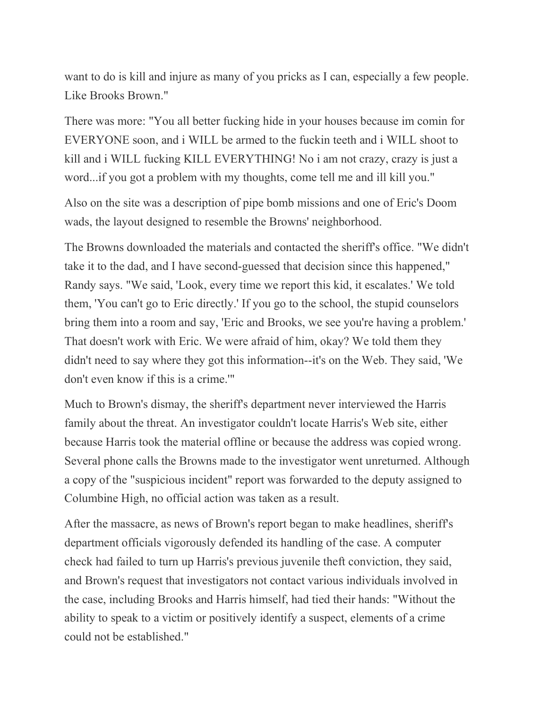want to do is kill and injure as many of you pricks as I can, especially a few people. Like Brooks Brown."

There was more: "You all better fucking hide in your houses because im comin for EVERYONE soon, and i WILL be armed to the fuckin teeth and i WILL shoot to kill and i WILL fucking KILL EVERYTHING! No i am not crazy, crazy is just a word...if you got a problem with my thoughts, come tell me and ill kill you."

Also on the site was a description of pipe bomb missions and one of Eric's Doom wads, the layout designed to resemble the Browns' neighborhood.

The Browns downloaded the materials and contacted the sheriff's office. "We didn't take it to the dad, and I have second-guessed that decision since this happened," Randy says. "We said, 'Look, every time we report this kid, it escalates.' We told them, 'You can't go to Eric directly.' If you go to the school, the stupid counselors bring them into a room and say, 'Eric and Brooks, we see you're having a problem.' That doesn't work with Eric. We were afraid of him, okay? We told them they didn't need to say where they got this information--it's on the Web. They said, 'We don't even know if this is a crime.'"

Much to Brown's dismay, the sheriff's department never interviewed the Harris family about the threat. An investigator couldn't locate Harris's Web site, either because Harris took the material offline or because the address was copied wrong. Several phone calls the Browns made to the investigator went unreturned. Although a copy of the "suspicious incident" report was forwarded to the deputy assigned to Columbine High, no official action was taken as a result.

After the massacre, as news of Brown's report began to make headlines, sheriff's department officials vigorously defended its handling of the case. A computer check had failed to turn up Harris's previous juvenile theft conviction, they said, and Brown's request that investigators not contact various individuals involved in the case, including Brooks and Harris himself, had tied their hands: "Without the ability to speak to a victim or positively identify a suspect, elements of a crime could not be established."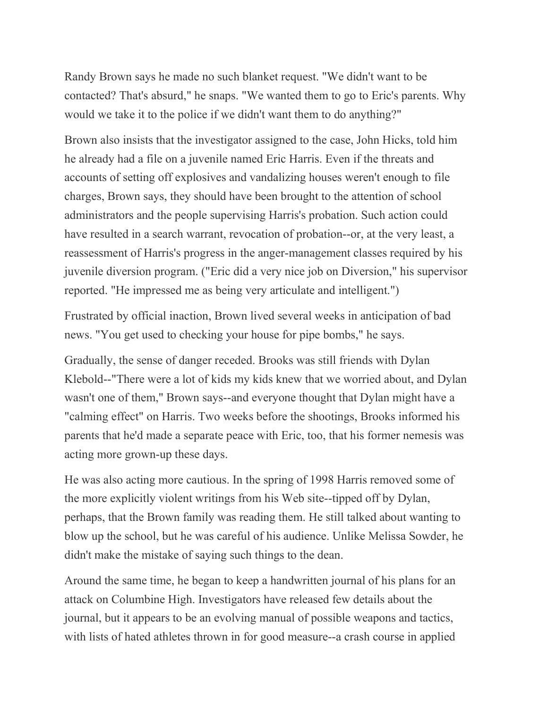Randy Brown says he made no such blanket request. "We didn't want to be contacted? That's absurd," he snaps. "We wanted them to go to Eric's parents. Why would we take it to the police if we didn't want them to do anything?"

Brown also insists that the investigator assigned to the case, John Hicks, told him he already had a file on a juvenile named Eric Harris. Even if the threats and accounts of setting off explosives and vandalizing houses weren't enough to file charges, Brown says, they should have been brought to the attention of school administrators and the people supervising Harris's probation. Such action could have resulted in a search warrant, revocation of probation--or, at the very least, a reassessment of Harris's progress in the anger-management classes required by his juvenile diversion program. ("Eric did a very nice job on Diversion," his supervisor reported. "He impressed me as being very articulate and intelligent.")

Frustrated by official inaction, Brown lived several weeks in anticipation of bad news. "You get used to checking your house for pipe bombs," he says.

Gradually, the sense of danger receded. Brooks was still friends with Dylan Klebold--"There were a lot of kids my kids knew that we worried about, and Dylan wasn't one of them," Brown says--and everyone thought that Dylan might have a "calming effect" on Harris. Two weeks before the shootings, Brooks informed his parents that he'd made a separate peace with Eric, too, that his former nemesis was acting more grown-up these days.

He was also acting more cautious. In the spring of 1998 Harris removed some of the more explicitly violent writings from his Web site--tipped off by Dylan, perhaps, that the Brown family was reading them. He still talked about wanting to blow up the school, but he was careful of his audience. Unlike Melissa Sowder, he didn't make the mistake of saying such things to the dean.

Around the same time, he began to keep a handwritten journal of his plans for an attack on Columbine High. Investigators have released few details about the journal, but it appears to be an evolving manual of possible weapons and tactics, with lists of hated athletes thrown in for good measure--a crash course in applied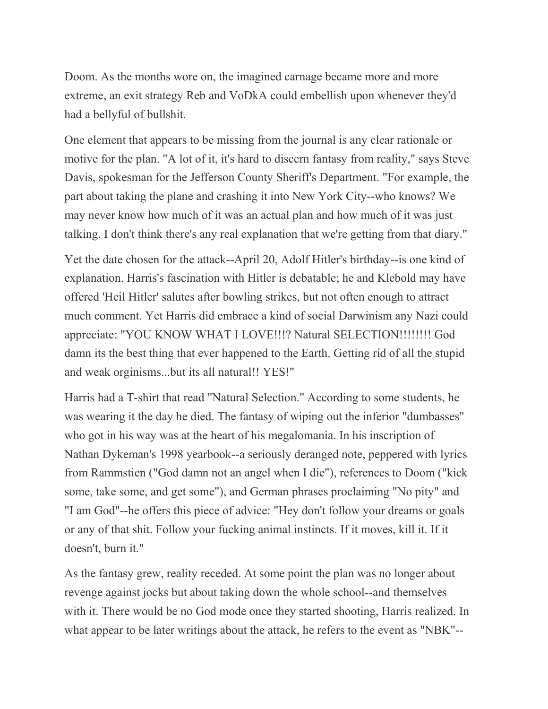Doom. As the months wore on, the imagined carnage became more and more extreme, an exit strategy Reb and VoDkA could embellish upon whenever they'd had a bellyful of bullshit.

One element that appears to be missing from the journal is any clear rationale or motive for the plan. "A lot of it, it's hard to discern fantasy from reality," says Steve Davis, spokesman for the Jefferson County Sheriff's Department. "For example, the part about taking the plane and crashing it into New York City--who knows? We may never know how much of it was an actual plan and how much of it was just talking. I don't think there's any real explanation that we're getting from that diary."

Yet the date chosen for the attack--April 20, Adolf Hitler's birthday--is one kind of explanation. Harris's fascination with Hitler is debatable; he and Klebold may have offered 'Heil Hitler' salutes after bowling strikes, but not often enough to attract much comment. Yet Harris did embrace a kind of social Darwinism any Nazi could appreciate: "YOU KNOW WHAT I LOVE!!!? Natural SELECTION!!!!!!!! God damn its the best thing that ever happened to the Earth. Getting rid of all the stupid and weak orginisms...but its all natural!! YES!"

Harris had a T-shirt that read "Natural Selection." According to some students, he was wearing it the day he died. The fantasy of wiping out the inferior "dumbasses" who got in his way was at the heart of his megalomania. In his inscription of Nathan Dykeman's 1998 yearbook--a seriously deranged note, peppered with lyrics from Rammstien ("God damn not an angel when I die"), references to Doom ("kick some, take some, and get some"), and German phrases proclaiming "No pity" and "I am God"--he offers this piece of advice: "Hey don't follow your dreams or goals or any of that shit. Follow your fucking animal instincts. If it moves, kill it. If it doesn't, burn it."

As the fantasy grew, reality receded. At some point the plan was no longer about revenge against jocks but about taking down the whole school--and themselves with it. There would be no God mode once they started shooting, Harris realized. In what appear to be later writings about the attack, he refers to the event as "NBK"--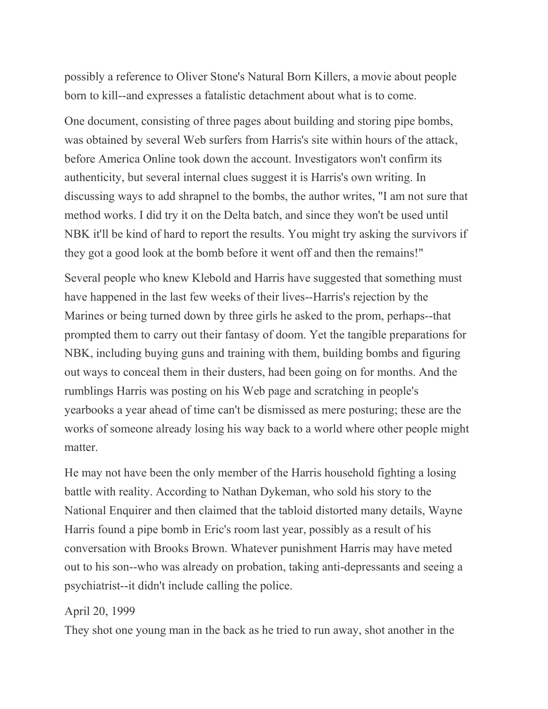possibly a reference to Oliver Stone's Natural Born Killers, a movie about people born to kill--and expresses a fatalistic detachment about what is to come.

One document, consisting of three pages about building and storing pipe bombs, was obtained by several Web surfers from Harris's site within hours of the attack, before America Online took down the account. Investigators won't confirm its authenticity, but several internal clues suggest it is Harris's own writing. In discussing ways to add shrapnel to the bombs, the author writes, "I am not sure that method works. I did try it on the Delta batch, and since they won't be used until NBK it'll be kind of hard to report the results. You might try asking the survivors if they got a good look at the bomb before it went off and then the remains!"

Several people who knew Klebold and Harris have suggested that something must have happened in the last few weeks of their lives--Harris's rejection by the Marines or being turned down by three girls he asked to the prom, perhaps--that prompted them to carry out their fantasy of doom. Yet the tangible preparations for NBK, including buying guns and training with them, building bombs and figuring out ways to conceal them in their dusters, had been going on for months. And the rumblings Harris was posting on his Web page and scratching in people's yearbooks a year ahead of time can't be dismissed as mere posturing; these are the works of someone already losing his way back to a world where other people might matter.

He may not have been the only member of the Harris household fighting a losing battle with reality. According to Nathan Dykeman, who sold his story to the National Enquirer and then claimed that the tabloid distorted many details, Wayne Harris found a pipe bomb in Eric's room last year, possibly as a result of his conversation with Brooks Brown. Whatever punishment Harris may have meted out to his son--who was already on probation, taking anti-depressants and seeing a psychiatrist--it didn't include calling the police.

### April 20, 1999

They shot one young man in the back as he tried to run away, shot another in the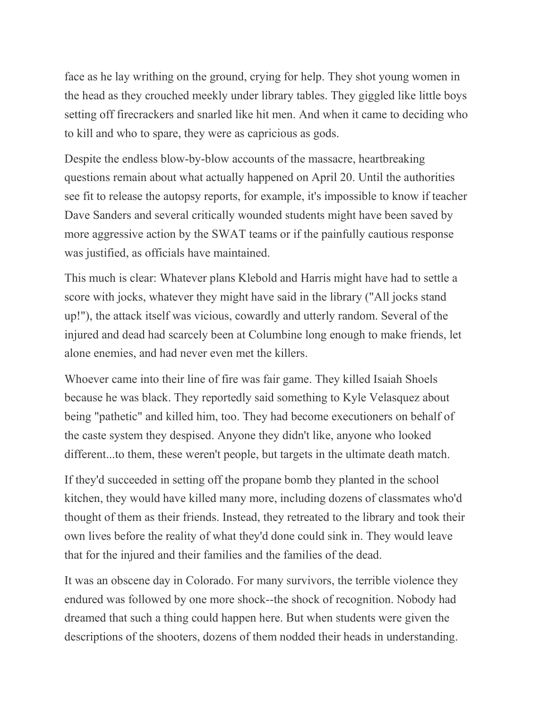face as he lay writhing on the ground, crying for help. They shot young women in the head as they crouched meekly under library tables. They giggled like little boys setting off firecrackers and snarled like hit men. And when it came to deciding who to kill and who to spare, they were as capricious as gods.

Despite the endless blow-by-blow accounts of the massacre, heartbreaking questions remain about what actually happened on April 20. Until the authorities see fit to release the autopsy reports, for example, it's impossible to know if teacher Dave Sanders and several critically wounded students might have been saved by more aggressive action by the SWAT teams or if the painfully cautious response was justified, as officials have maintained.

This much is clear: Whatever plans Klebold and Harris might have had to settle a score with jocks, whatever they might have said in the library ("All jocks stand up!"), the attack itself was vicious, cowardly and utterly random. Several of the injured and dead had scarcely been at Columbine long enough to make friends, let alone enemies, and had never even met the killers.

Whoever came into their line of fire was fair game. They killed Isaiah Shoels because he was black. They reportedly said something to Kyle Velasquez about being "pathetic" and killed him, too. They had become executioners on behalf of the caste system they despised. Anyone they didn't like, anyone who looked different...to them, these weren't people, but targets in the ultimate death match.

If they'd succeeded in setting off the propane bomb they planted in the school kitchen, they would have killed many more, including dozens of classmates who'd thought of them as their friends. Instead, they retreated to the library and took their own lives before the reality of what they'd done could sink in. They would leave that for the injured and their families and the families of the dead.

It was an obscene day in Colorado. For many survivors, the terrible violence they endured was followed by one more shock--the shock of recognition. Nobody had dreamed that such a thing could happen here. But when students were given the descriptions of the shooters, dozens of them nodded their heads in understanding.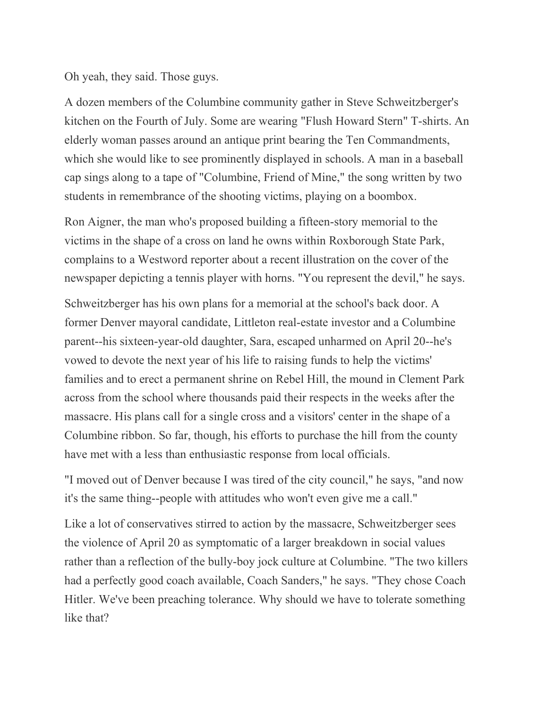Oh yeah, they said. Those guys.

A dozen members of the Columbine community gather in Steve Schweitzberger's kitchen on the Fourth of July. Some are wearing "Flush Howard Stern" T-shirts. An elderly woman passes around an antique print bearing the Ten Commandments, which she would like to see prominently displayed in schools. A man in a baseball cap sings along to a tape of "Columbine, Friend of Mine," the song written by two students in remembrance of the shooting victims, playing on a boombox.

Ron Aigner, the man who's proposed building a fifteen-story memorial to the victims in the shape of a cross on land he owns within Roxborough State Park, complains to a Westword reporter about a recent illustration on the cover of the newspaper depicting a tennis player with horns. "You represent the devil," he says.

Schweitzberger has his own plans for a memorial at the school's back door. A former Denver mayoral candidate, Littleton real-estate investor and a Columbine parent--his sixteen-year-old daughter, Sara, escaped unharmed on April 20--he's vowed to devote the next year of his life to raising funds to help the victims' families and to erect a permanent shrine on Rebel Hill, the mound in Clement Park across from the school where thousands paid their respects in the weeks after the massacre. His plans call for a single cross and a visitors' center in the shape of a Columbine ribbon. So far, though, his efforts to purchase the hill from the county have met with a less than enthusiastic response from local officials.

"I moved out of Denver because I was tired of the city council," he says, "and now it's the same thing--people with attitudes who won't even give me a call."

Like a lot of conservatives stirred to action by the massacre, Schweitzberger sees the violence of April 20 as symptomatic of a larger breakdown in social values rather than a reflection of the bully-boy jock culture at Columbine. "The two killers had a perfectly good coach available, Coach Sanders," he says. "They chose Coach Hitler. We've been preaching tolerance. Why should we have to tolerate something like that?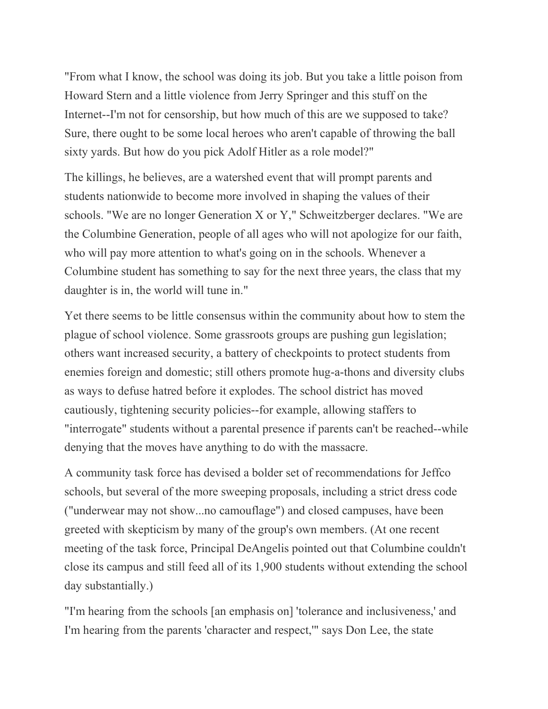"From what I know, the school was doing its job. But you take a little poison from Howard Stern and a little violence from Jerry Springer and this stuff on the Internet--I'm not for censorship, but how much of this are we supposed to take? Sure, there ought to be some local heroes who aren't capable of throwing the ball sixty yards. But how do you pick Adolf Hitler as a role model?"

The killings, he believes, are a watershed event that will prompt parents and students nationwide to become more involved in shaping the values of their schools. "We are no longer Generation X or Y," Schweitzberger declares. "We are the Columbine Generation, people of all ages who will not apologize for our faith, who will pay more attention to what's going on in the schools. Whenever a Columbine student has something to say for the next three years, the class that my daughter is in, the world will tune in."

Yet there seems to be little consensus within the community about how to stem the plague of school violence. Some grassroots groups are pushing gun legislation; others want increased security, a battery of checkpoints to protect students from enemies foreign and domestic; still others promote hug-a-thons and diversity clubs as ways to defuse hatred before it explodes. The school district has moved cautiously, tightening security policies--for example, allowing staffers to "interrogate" students without a parental presence if parents can't be reached--while denying that the moves have anything to do with the massacre.

A community task force has devised a bolder set of recommendations for Jeffco schools, but several of the more sweeping proposals, including a strict dress code ("underwear may not show...no camouflage") and closed campuses, have been greeted with skepticism by many of the group's own members. (At one recent meeting of the task force, Principal DeAngelis pointed out that Columbine couldn't close its campus and still feed all of its 1,900 students without extending the school day substantially.)

"I'm hearing from the schools [an emphasis on] 'tolerance and inclusiveness,' and I'm hearing from the parents 'character and respect,'" says Don Lee, the state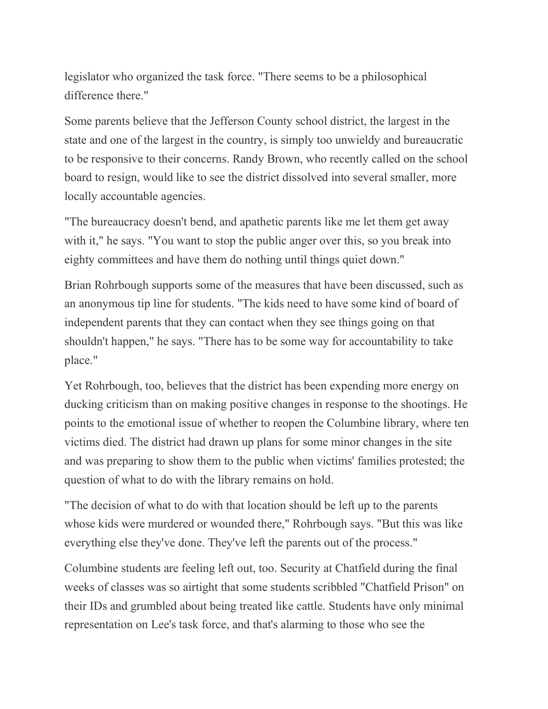legislator who organized the task force. "There seems to be a philosophical difference there."

Some parents believe that the Jefferson County school district, the largest in the state and one of the largest in the country, is simply too unwieldy and bureaucratic to be responsive to their concerns. Randy Brown, who recently called on the school board to resign, would like to see the district dissolved into several smaller, more locally accountable agencies.

"The bureaucracy doesn't bend, and apathetic parents like me let them get away with it," he says. "You want to stop the public anger over this, so you break into eighty committees and have them do nothing until things quiet down."

Brian Rohrbough supports some of the measures that have been discussed, such as an anonymous tip line for students. "The kids need to have some kind of board of independent parents that they can contact when they see things going on that shouldn't happen," he says. "There has to be some way for accountability to take place."

Yet Rohrbough, too, believes that the district has been expending more energy on ducking criticism than on making positive changes in response to the shootings. He points to the emotional issue of whether to reopen the Columbine library, where ten victims died. The district had drawn up plans for some minor changes in the site and was preparing to show them to the public when victims' families protested; the question of what to do with the library remains on hold.

"The decision of what to do with that location should be left up to the parents whose kids were murdered or wounded there," Rohrbough says. "But this was like everything else they've done. They've left the parents out of the process."

Columbine students are feeling left out, too. Security at Chatfield during the final weeks of classes was so airtight that some students scribbled "Chatfield Prison" on their IDs and grumbled about being treated like cattle. Students have only minimal representation on Lee's task force, and that's alarming to those who see the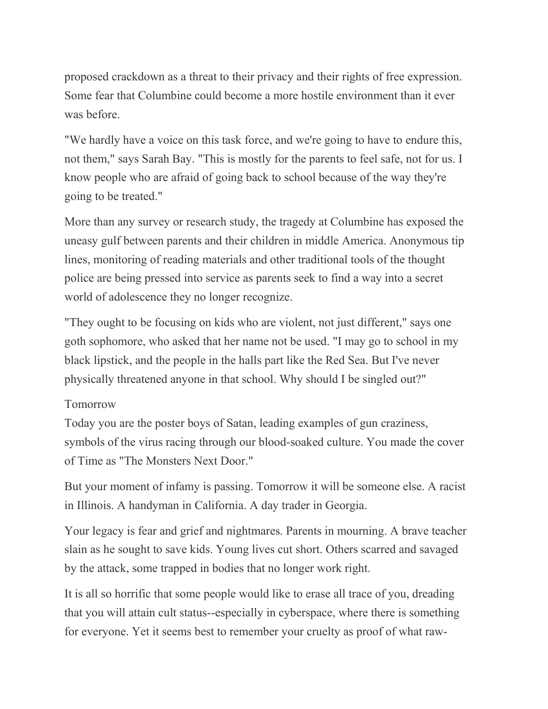proposed crackdown as a threat to their privacy and their rights of free expression. Some fear that Columbine could become a more hostile environment than it ever was before.

"We hardly have a voice on this task force, and we're going to have to endure this, not them," says Sarah Bay. "This is mostly for the parents to feel safe, not for us. I know people who are afraid of going back to school because of the way they're going to be treated."

More than any survey or research study, the tragedy at Columbine has exposed the uneasy gulf between parents and their children in middle America. Anonymous tip lines, monitoring of reading materials and other traditional tools of the thought police are being pressed into service as parents seek to find a way into a secret world of adolescence they no longer recognize.

"They ought to be focusing on kids who are violent, not just different," says one goth sophomore, who asked that her name not be used. "I may go to school in my black lipstick, and the people in the halls part like the Red Sea. But I've never physically threatened anyone in that school. Why should I be singled out?"

## Tomorrow

Today you are the poster boys of Satan, leading examples of gun craziness, symbols of the virus racing through our blood-soaked culture. You made the cover of Time as "The Monsters Next Door."

But your moment of infamy is passing. Tomorrow it will be someone else. A racist in Illinois. A handyman in California. A day trader in Georgia.

Your legacy is fear and grief and nightmares. Parents in mourning. A brave teacher slain as he sought to save kids. Young lives cut short. Others scarred and savaged by the attack, some trapped in bodies that no longer work right.

It is all so horrific that some people would like to erase all trace of you, dreading that you will attain cult status--especially in cyberspace, where there is something for everyone. Yet it seems best to remember your cruelty as proof of what raw-